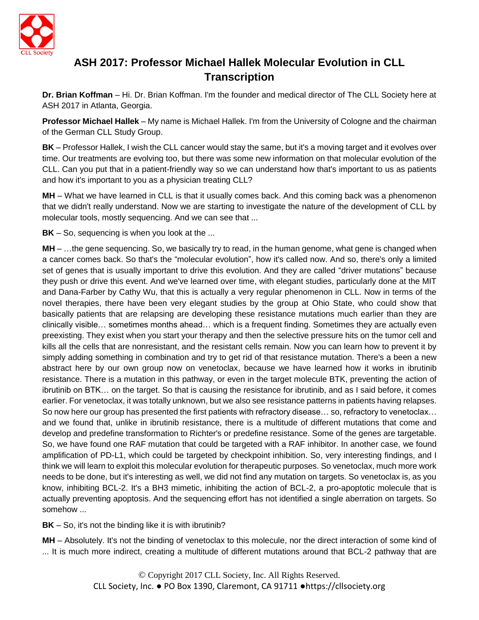

## **ASH 2017: Professor Michael Hallek Molecular Evolution in CLL Transcription**

**Dr. Brian Koffman** – Hi. Dr. Brian Koffman. I'm the founder and medical director of The CLL Society here at ASH 2017 in Atlanta, Georgia.

**Professor Michael Hallek** – My name is Michael Hallek. I'm from the University of Cologne and the chairman of the German CLL Study Group.

**BK** – Professor Hallek, I wish the CLL cancer would stay the same, but it's a moving target and it evolves over time. Our treatments are evolving too, but there was some new information on that molecular evolution of the CLL. Can you put that in a patient-friendly way so we can understand how that's important to us as patients and how it's important to you as a physician treating CLL?

**MH** – What we have learned in CLL is that it usually comes back. And this coming back was a phenomenon that we didn't really understand. Now we are starting to investigate the nature of the development of CLL by molecular tools, mostly sequencing. And we can see that ...

**BK** – So, sequencing is when you look at the ...

**MH** – …the gene sequencing. So, we basically try to read, in the human genome, what gene is changed when a cancer comes back. So that's the "molecular evolution", how it's called now. And so, there's only a limited set of genes that is usually important to drive this evolution. And they are called "driver mutations" because they push or drive this event. And we've learned over time, with elegant studies, particularly done at the MIT and Dana-Farber by Cathy Wu, that this is actually a very regular phenomenon in CLL. Now in terms of the novel therapies, there have been very elegant studies by the group at Ohio State, who could show that basically patients that are relapsing are developing these resistance mutations much earlier than they are clinically visible… sometimes months ahead… which is a frequent finding. Sometimes they are actually even preexisting. They exist when you start your therapy and then the selective pressure hits on the tumor cell and kills all the cells that are nonresistant, and the resistant cells remain. Now you can learn how to prevent it by simply adding something in combination and try to get rid of that resistance mutation. There's a been a new abstract here by our own group now on venetoclax, because we have learned how it works in ibrutinib resistance. There is a mutation in this pathway, or even in the target molecule BTK, preventing the action of ibrutinib on BTK… on the target. So that is causing the resistance for ibrutinib, and as I said before, it comes earlier. For venetoclax, it was totally unknown, but we also see resistance patterns in patients having relapses. So now here our group has presented the first patients with refractory disease… so, refractory to venetoclax… and we found that, unlike in ibrutinib resistance, there is a multitude of different mutations that come and develop and predefine transformation to Richter's or predefine resistance. Some of the genes are targetable. So, we have found one RAF mutation that could be targeted with a RAF inhibitor. In another case, we found amplification of PD-L1, which could be targeted by checkpoint inhibition. So, very interesting findings, and I think we will learn to exploit this molecular evolution for therapeutic purposes. So venetoclax, much more work needs to be done, but it's interesting as well, we did not find any mutation on targets. So venetoclax is, as you know, inhibiting BCL-2. It's a BH3 mimetic, inhibiting the action of BCL-2, a pro-apoptotic molecule that is actually preventing apoptosis. And the sequencing effort has not identified a single aberration on targets. So somehow ...

**BK** – So, it's not the binding like it is with ibrutinib?

**MH** – Absolutely. It's not the binding of venetoclax to this molecule, nor the direct interaction of some kind of ... It is much more indirect, creating a multitude of different mutations around that BCL-2 pathway that are